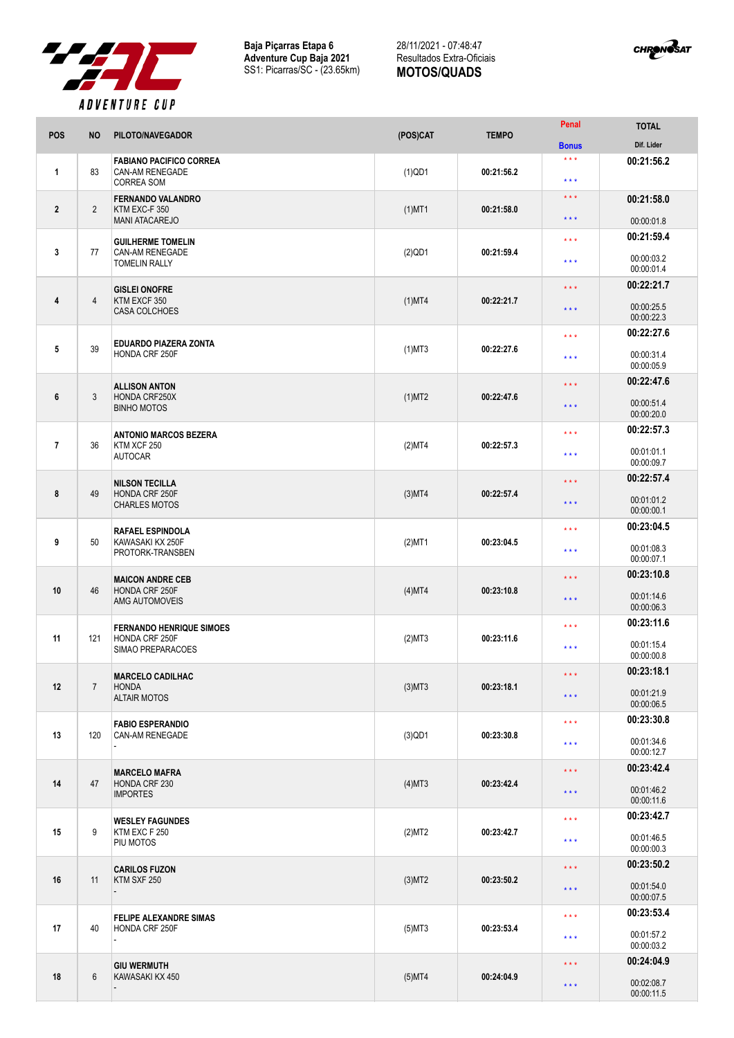

**Baja Piçarras Etapa 6 Adventure Cup Baja 2021** SS1: Picarras/SC - (23.65km)

## 28/11/2021 - 07:48:47 Resultados Extra-Oficiais **MOTOS/QUADS**



| POS            | <b>NO</b>      | PILOTO/NAVEGADOR                                                              | (POS)CAT  | <b>TEMPO</b> | Penal                   | <b>TOTAL</b>                           |
|----------------|----------------|-------------------------------------------------------------------------------|-----------|--------------|-------------------------|----------------------------------------|
|                |                |                                                                               |           |              | <b>Bonus</b>            | Dif. Lider                             |
| $\mathbf{1}$   | 83             | <b>FABIANO PACIFICO CORREA</b><br><b>CAN-AM RENEGADE</b><br><b>CORREA SOM</b> | $(1)$ QD1 | 00:21:56.2   | $***$<br>$***$          | 00:21:56.2                             |
| $\overline{2}$ | $\overline{2}$ | <b>FERNANDO VALANDRO</b><br>KTM EXC-F 350                                     | $(1)$ MT1 | 00:21:58.0   | $***$<br>* * *          | 00:21:58.0                             |
|                |                | <b>MANI ATACAREJO</b>                                                         |           |              |                         | 00:00:01.8                             |
| 3              | 77             | <b>GUILHERME TOMELIN</b><br>CAN-AM RENEGADE<br><b>TOMELIN RALLY</b>           | $(2)$ QD1 | 00:21:59.4   | $***$<br>$***$          | 00:21:59.4<br>00:00:03.2<br>00:00:01.4 |
|                |                |                                                                               |           |              |                         | 00:22:21.7                             |
| 4              | $\overline{4}$ | <b>GISLEI ONOFRE</b><br>KTM EXCF 350<br>CASA COLCHOES                         | $(1)$ MT4 | 00:22:21.7   | $***$<br>$***$          | 00:00:25.5<br>00:00:22.3               |
|                |                |                                                                               |           |              |                         | 00:22:27.6                             |
| 5              | 39             | <b>EDUARDO PIAZERA ZONTA</b><br>HONDA CRF 250F                                | $(1)$ MT3 | 00:22:27.6   | $***$<br>$***$          | 00:00:31.4<br>00:00:05.9               |
|                |                | <b>ALLISON ANTON</b>                                                          |           |              | $***$                   | 00:22:47.6                             |
| 6              | 3              | HONDA CRF250X<br><b>BINHO MOTOS</b>                                           | $(1)$ MT2 | 00:22:47.6   | $***$                   | 00:00:51.4<br>00:00:20.0               |
|                |                | <b>ANTONIO MARCOS BEZERA</b>                                                  |           |              | $***$                   | 00:22:57.3                             |
| $\overline{7}$ | 36             | KTM XCF 250<br><b>AUTOCAR</b>                                                 | (2)MT4    | 00:22:57.3   | $***$                   | 00:01:01.1<br>00:00:09.7               |
|                |                |                                                                               |           |              | $***$                   | 00:22:57.4                             |
| 8              | 49             | <b>NILSON TECILLA</b><br>HONDA CRF 250F<br><b>CHARLES MOTOS</b>               | $(3)$ MT4 | 00:22:57.4   | $***$                   | 00:01:01.2<br>00:00:00.1               |
|                |                |                                                                               |           |              | $***$                   | 00:23:04.5                             |
| 9              | 50             | <b>RAFAEL ESPINDOLA</b><br>KAWASAKI KX 250F<br>PROTORK-TRANSBEN               | $(2)$ MT1 | 00:23:04.5   | $***$                   | 00:01:08.3<br>00:00:07.1               |
|                |                |                                                                               |           |              | $***$<br>$***$          | 00:23:10.8                             |
| 10             | 46             | <b>MAICON ANDRE CEB</b><br>HONDA CRF 250F<br>AMG AUTOMOVEIS                   | $(4)$ MT4 | 00:23:10.8   |                         | 00:01:14.6<br>00:00:06.3               |
|                |                |                                                                               |           |              | $***$                   | 00:23:11.6                             |
| 11             | 121            | <b>FERNANDO HENRIQUE SIMOES</b><br>HONDA CRF 250F<br>SIMAO PREPARACOES        | (2)MT3    | 00:23:11.6   | $* * *$                 | 00:01:15.4<br>00:00:00.8               |
|                |                | <b>MARCELO CADILHAC</b>                                                       |           |              | $\star$ $\star$ $\star$ | 00:23:18.1                             |
| 12             | $\overline{7}$ | <b>HONDA</b><br><b>ALTAIR MOTOS</b>                                           | $(3)$ MT3 | 00:23:18.1   | $\star$ $\star$ $\star$ | 00:01:21.9<br>00:00:06.5               |
|                |                | <b>FABIO ESPERANDIO</b>                                                       |           |              | $***$                   | 00:23:30.8                             |
| 13             | 120            | <b>CAN-AM RENEGADE</b>                                                        | $(3)$ QD1 | 00:23:30.8   | $***$                   | 00:01:34.6<br>00:00:12.7               |
|                |                | <b>MARCELO MAFRA</b>                                                          |           |              | $\star\star\star$       | 00:23:42.4                             |
| 14             | 47             | HONDA CRF 230<br><b>IMPORTES</b>                                              | $(4)$ MT3 | 00:23:42.4   | $\star$ $\star$ $\star$ | 00:01:46.2<br>00:00:11.6               |
|                |                | <b>WESLEY FAGUNDES</b>                                                        |           |              | $***$                   | 00:23:42.7                             |
| 15             | 9              | KTM EXC F 250<br>PIU MOTOS                                                    | (2)MT2    | 00:23:42.7   | $* * *$                 | 00:01:46.5<br>00:00:00.3               |
|                |                | <b>CARILOS FUZON</b>                                                          |           |              | $***$                   | 00:23:50.2                             |
| 16             | 11             | KTM SXF 250                                                                   | $(3)$ MT2 | 00:23:50.2   | $\star$ $\star$ $\star$ | 00:01:54.0<br>00:00:07.5               |
|                |                | <b>FELIPE ALEXANDRE SIMAS</b>                                                 |           |              | $***$                   | 00:23:53.4                             |
| 17             | 40             | HONDA CRF 250F                                                                | $(5)$ MT3 | 00:23:53.4   | $***$                   | 00:01:57.2<br>00:00:03.2               |
|                |                | <b>GIU WERMUTH</b>                                                            |           |              | $***$                   | 00:24:04.9                             |
| 18             | 6              | KAWASAKI KX 450                                                               | $(5)$ MT4 | 00:24:04.9   | $\star$ $\star$ $\star$ | 00:02:08.7<br>00:00:11.5               |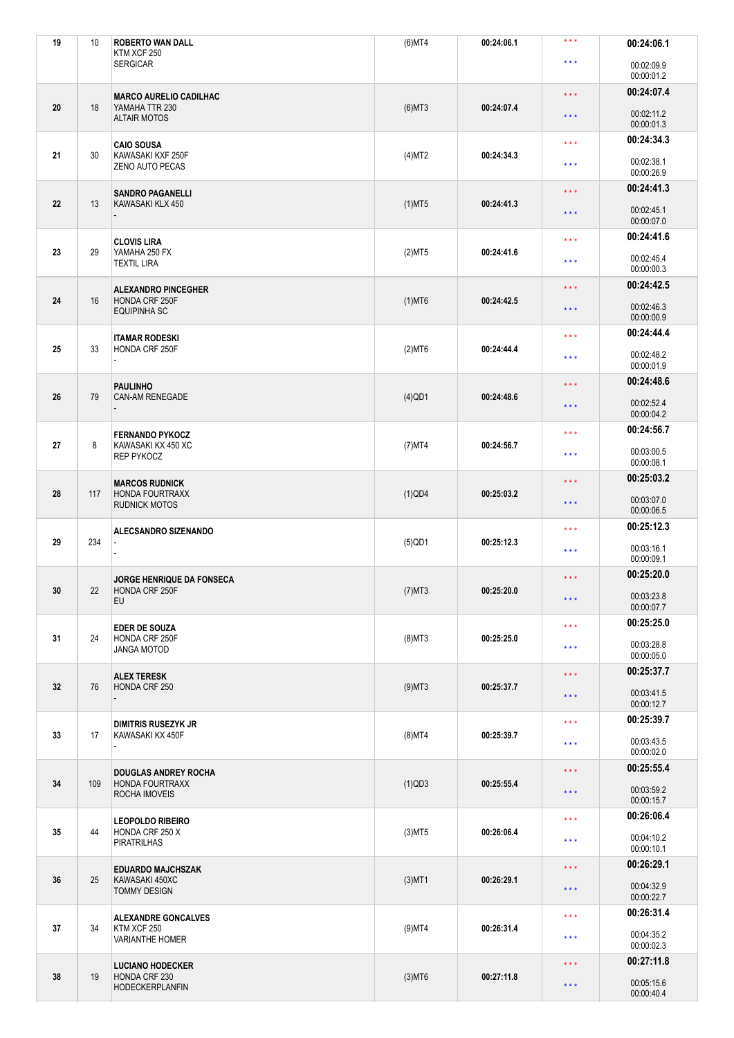| 19 | 10  | <b>ROBERTO WAN DALL</b><br>KTM XCF 250                                        | $(6)$ MT4 | 00:24:06.1 | $***$                             | 00:24:06.1               |
|----|-----|-------------------------------------------------------------------------------|-----------|------------|-----------------------------------|--------------------------|
|    |     | <b>SERGICAR</b>                                                               |           |            | $***$                             | 00:02:09.9<br>00:00:01.2 |
|    |     | <b>MARCO AURELIO CADILHAC</b>                                                 |           |            | $\star\star\star$                 | 00:24:07.4               |
| 20 | 18  | YAMAHA TTR 230<br><b>ALTAIR MOTOS</b>                                         | $(6)$ MT3 | 00:24:07.4 | $***$                             | 00:02:11.2<br>00:00:01.3 |
| 21 | 30  | <b>CAIO SOUSA</b>                                                             |           | 00:24:34.3 | $***$                             | 00:24:34.3               |
|    |     | KAWASAKI KXF 250F<br><b>ZENO AUTO PECAS</b>                                   | $(4)$ MT2 |            | $***$                             | 00:02:38.1<br>00:00:26.9 |
|    |     | <b>SANDRO PAGANELLI</b>                                                       |           |            | $***$                             | 00:24:41.3               |
| 22 | 13  | KAWASAKI KLX 450                                                              | $(1)$ MT5 | 00:24:41.3 | $***$                             | 00:02:45.1<br>00:00:07.0 |
| 23 | 29  | <b>CLOVIS LIRA</b><br>YAMAHA 250 FX                                           | (2)MT5    | 00:24:41.6 | $***$                             | 00:24:41.6               |
|    |     | <b>TEXTIL LIRA</b>                                                            |           |            | $***$                             | 00:02:45.4<br>00:00:00.3 |
| 24 | 16  | <b>ALEXANDRO PINCEGHER</b><br>HONDA CRF 250F<br><b>EQUIPINHA SC</b>           | $(1)$ MT6 | 00:24:42.5 | $***$                             | 00:24:42.5               |
|    |     |                                                                               |           |            | $***$                             | 00:02:46.3<br>00:00:00.9 |
|    |     | <b>ITAMAR RODESKI</b>                                                         |           |            | $***$                             | 00:24:44.4               |
| 25 | 33  | HONDA CRF 250F                                                                | $(2)$ MT6 | 00:24:44.4 | $***$                             | 00:02:48.2<br>00:00:01.9 |
|    |     | <b>PAULINHO</b><br>CAN-AM RENEGADE                                            |           |            | $***$                             | 00:24:48.6               |
| 26 | 79  |                                                                               | $(4)$ QD1 | 00:24:48.6 | $***$                             | 00:02:52.4<br>00:00:04.2 |
|    |     | <b>FERNANDO PYKOCZ</b><br>KAWASAKI KX 450 XC<br><b>REP PYKOCZ</b>             |           |            | $***$                             | 00:24:56.7               |
| 27 | 8   |                                                                               | $(7)$ MT4 | 00:24:56.7 | $***$                             | 00:03:00.5<br>00:00:08.1 |
|    |     | <b>MARCOS RUDNICK</b><br><b>HONDA FOURTRAXX</b><br><b>RUDNICK MOTOS</b>       |           |            | $***$                             | 00:25:03.2               |
| 28 | 117 |                                                                               | $(1)$ QD4 | 00:25:03.2 | $***$                             | 00:03:07.0<br>00:00:06.5 |
|    | 234 | ALECSANDRO SIZENANDO                                                          |           |            | $***$                             | 00:25:12.3               |
| 29 |     |                                                                               | $(5)$ QD1 | 00:25:12.3 | $* * *$                           | 00:03:16.1<br>00:00:09.1 |
|    |     | <b>JORGE HENRIQUE DA FONSECA</b>                                              |           |            | $***$                             | 00:25:20.0               |
| 30 | 22  | HONDA CRF 250F<br><b>EU</b>                                                   | $(7)$ MT3 | 00:25:20.0 | $***$                             | 00:03:23.8<br>00:00:07.7 |
| 31 | 24  | <b>EDER DE SOUZA</b><br>HONDA CRF 250F                                        | $(8)$ MT3 | 00:25:25.0 | $\star\star\star$                 | 00:25:25.0               |
|    |     | <b>JANGA MOTOD</b>                                                            |           |            | $* * *$                           | 00:03:28.8<br>00:00:05.0 |
|    |     | <b>ALEX TERESK</b>                                                            |           |            | $***$                             | 00:25:37.7               |
| 32 | 76  | HONDA CRF 250                                                                 | $(9)$ MT3 | 00:25:37.7 | $***$                             | 00:03:41.5<br>00:00:12.7 |
|    | 17  | <b>DIMITRIS RUSEZYK JR</b><br>KAWASAKI KX 450F                                |           |            | $\star\star\star$                 | 00:25:39.7               |
| 33 |     |                                                                               | $(8)$ MT4 | 00:25:39.7 | $\star$ $\star$ $\star$           | 00:03:43.5<br>00:00:02.0 |
|    | 109 | <b>DOUGLAS ANDREY ROCHA</b><br><b>HONDA FOURTRAXX</b><br><b>ROCHA IMOVEIS</b> |           |            | $***$                             | 00:25:55.4               |
| 34 |     |                                                                               | $(1)$ QD3 | 00:25:55.4 | $***$                             | 00:03:59.2<br>00:00:15.7 |
|    | 44  | <b>LEOPOLDO RIBEIRO</b><br>HONDA CRF 250 X<br><b>PIRATRILHAS</b>              |           |            | $***$                             | 00:26:06.4               |
| 35 |     |                                                                               | $(3)$ MT5 | 00:26:06.4 | $***$                             | 00:04:10.2<br>00:00:10.1 |
|    | 25  | <b>EDUARDO MAJCHSZAK</b><br>KAWASAKI 450XC<br><b>TOMMY DESIGN</b>             |           |            | $***$                             | 00:26:29.1               |
| 36 |     |                                                                               | $(3)$ MT1 | 00:26:29.1 | $\star$ $\star$ $\star$           | 00:04:32.9<br>00:00:22.7 |
|    |     | <b>ALEXANDRE GONCALVES</b><br>34<br>KTM XCF 250<br><b>VARIANTHE HOMER</b>     |           |            | $***$                             | 00:26:31.4               |
| 37 |     |                                                                               | $(9)$ MT4 | 00:26:31.4 | $\star$ $\star$ $\star$           | 00:04:35.2<br>00:00:02.3 |
|    | 19  | <b>LUCIANO HODECKER</b><br>HONDA CRF 230<br><b>HODECKERPLANFIN</b>            |           |            | $***$                             | 00:27:11.8               |
| 38 |     |                                                                               | $(3)$ MT6 | 00:27:11.8 | 00:05:15.6<br>$***$<br>00:00:40.4 |                          |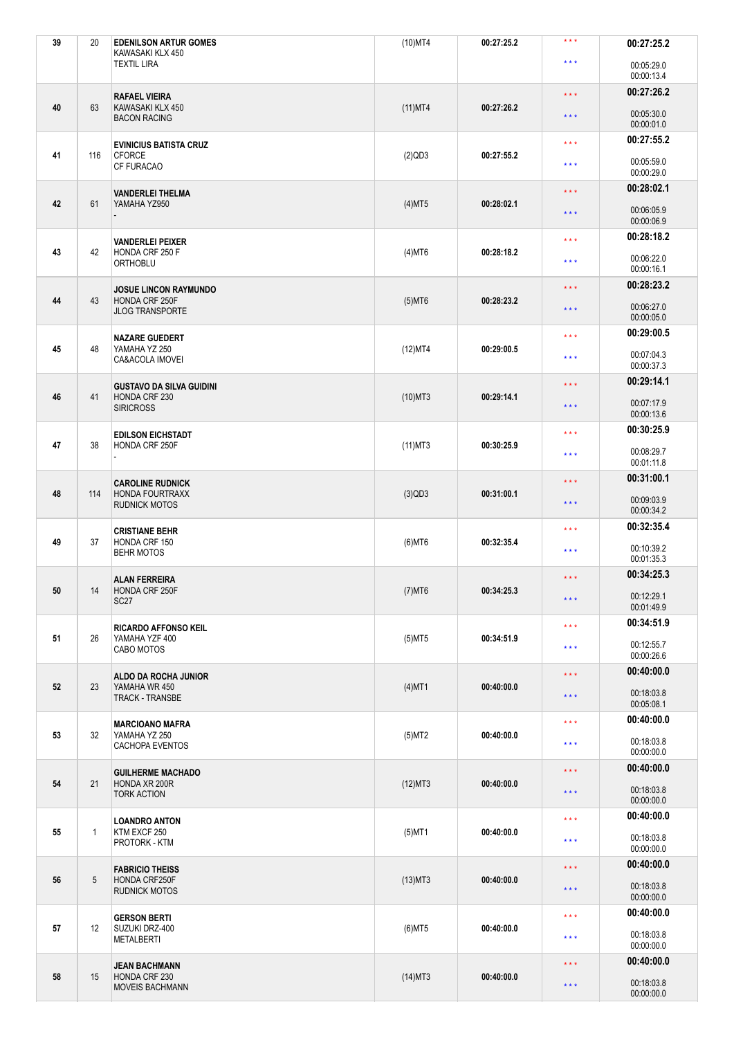| 39 | 20           | <b>EDENILSON ARTUR GOMES</b><br>KAWASAKI KLX 450                          | $(10)$ MT4 | 00:27:25.2 | $***$             | 00:27:25.2               |
|----|--------------|---------------------------------------------------------------------------|------------|------------|-------------------|--------------------------|
|    |              | <b>TEXTIL LIRA</b>                                                        |            |            | $***$             | 00:05:29.0<br>00:00:13.4 |
|    |              | <b>RAFAEL VIEIRA</b>                                                      |            |            | $***$             | 00:27:26.2               |
| 40 | 63           | KAWASAKI KLX 450<br><b>BACON RACING</b>                                   | $(11)$ MT4 | 00:27:26.2 | $***$             | 00:05:30.0<br>00:00:01.0 |
|    |              | <b>EVINICIUS BATISTA CRUZ</b>                                             |            |            | $***$             | 00:27:55.2               |
| 41 | 116          | <b>CFORCE</b><br><b>CF FURACAO</b>                                        | $(2)$ QD3  | 00:27:55.2 | $***$             | 00:05:59.0<br>00:00:29.0 |
|    |              | <b>VANDERLEI THELMA</b>                                                   |            |            | $***$             | 00:28:02.1               |
| 42 | 61           | YAMAHA YZ950                                                              | (4)MT5     | 00:28:02.1 | $***$             | 00:06:05.9<br>00:00:06.9 |
|    |              | <b>VANDERLEI PEIXER</b>                                                   |            |            | $***$             | 00:28:18.2               |
| 43 | 42           | HONDA CRF 250 F<br><b>ORTHOBLU</b>                                        | $(4)$ MT6  | 00:28:18.2 | * * *             | 00:06:22.0<br>00:00:16.1 |
| 44 |              | <b>JOSUE LINCON RAYMUNDO</b><br>HONDA CRF 250F                            |            | 00:28:23.2 | $***$             | 00:28:23.2               |
|    | 43           | <b>JLOG TRANSPORTE</b>                                                    | $(5)$ MT6  |            | $***$             | 00:06:27.0<br>00:00:05.0 |
| 45 | 48           | <b>NAZARE GUEDERT</b><br>YAMAHA YZ 250                                    |            | 00:29:00.5 | $***$             | 00:29:00.5               |
|    |              | CA&ACOLA IMOVEI                                                           | (12)MT4    |            | $***$             | 00:07:04.3<br>00:00:37.3 |
|    |              | <b>GUSTAVO DA SILVA GUIDINI</b>                                           |            |            | $***$             | 00:29:14.1               |
| 46 | 41           | HONDA CRF 230<br><b>SIRICROSS</b>                                         | $(10)$ MT3 | 00:29:14.1 | $***$             | 00:07:17.9<br>00:00:13.6 |
|    |              | <b>EDILSON EICHSTADT</b>                                                  |            |            | $***$             | 00:30:25.9               |
| 47 | 38           | HONDA CRF 250F                                                            | $(11)$ MT3 | 00:30:25.9 | $***$             | 00:08:29.7<br>00:01:11.8 |
|    |              | <b>CAROLINE RUDNICK</b><br><b>HONDA FOURTRAXX</b><br><b>RUDNICK MOTOS</b> |            |            | $***$             | 00:31:00.1               |
| 48 | 114          |                                                                           | $(3)$ QD3  | 00:31:00.1 | $***$             | 00:09:03.9<br>00:00:34.2 |
|    |              | <b>CRISTIANE BEHR</b>                                                     |            |            | $***$             | 00:32:35.4               |
| 49 | 37           | HONDA CRF 150<br><b>BEHR MOTOS</b>                                        | $(6)$ MT6  | 00:32:35.4 | $***$             | 00:10:39.2<br>00:01:35.3 |
|    |              | <b>ALAN FERREIRA</b>                                                      |            |            | $***$             | 00:34:25.3               |
| 50 | 14           | HONDA CRF 250F<br>SC <sub>27</sub>                                        | $(7)$ MT6  | 00:34:25.3 | $***$             | 00:12:29.1<br>00:01:49.9 |
|    |              | <b>RICARDO AFFONSO KEIL</b>                                               |            |            | $***$             | 00:34:51.9               |
| 51 | 26           | YAMAHA YZF 400<br>CABO MOTOS                                              | $(5)$ MT5  | 00:34:51.9 | $***$             | 00:12:55.7<br>00:00:26.6 |
|    |              |                                                                           |            |            | $***$             | 00:40:00.0               |
| 52 | 23           | ALDO DA ROCHA JUNIOR<br>YAMAHA WR 450                                     | $(4)$ MT1  | 00:40:00.0 |                   | 00:18:03.8               |
|    |              | <b>TRACK - TRANSBE</b>                                                    |            |            | $***$             | 00:05:08.1               |
|    |              | <b>MARCIOANO MAFRA</b>                                                    |            |            | $***$             | 00:40:00.0               |
| 53 | 32           | YAMAHA YZ 250<br>CACHOPA EVENTOS                                          | (5)MT2     | 00:40:00.0 | $* * *$           | 00:18:03.8<br>00:00:00.0 |
|    | 21           | <b>GUILHERME MACHADO</b><br>HONDA XR 200R<br><b>TORK ACTION</b>           |            |            | $***$             | 00:40:00.0               |
| 54 |              |                                                                           | $(12)$ MT3 | 00:40:00.0 | $***$             | 00:18:03.8<br>00:00:00.0 |
|    | $\mathbf{1}$ | <b>LOANDRO ANTON</b><br>KTM EXCF 250<br>PROTORK - KTM                     |            |            | $\star\star\star$ | 00:40:00.0               |
| 55 |              |                                                                           | $(5)$ MT1  | 00:40:00.0 | $***$             | 00:18:03.8<br>00:00:00.0 |
|    | 5            | <b>FABRICIO THEISS</b><br>HONDA CRF250F<br><b>RUDNICK MOTOS</b>           |            |            | $***$             | 00:40:00.0               |
| 56 |              |                                                                           | $(13)$ MT3 | 00:40:00.0 | $***$             | 00:18:03.8<br>00:00:00.0 |
|    |              | <b>GERSON BERTI</b>                                                       |            |            | $***$             | 00:40:00.0               |
| 57 | 12           | SUZUKI DRZ-400<br><b>METALBERTI</b>                                       | $(6)$ MT5  | 00:40:00.0 | $***$             | 00:18:03.8<br>00:00:00.0 |
|    | 15           | <b>JEAN BACHMANN</b><br>HONDA CRF 230<br><b>MOVEIS BACHMANN</b>           |            |            | $***$             | 00:40:00.0               |
| 58 |              |                                                                           | $(14)$ MT3 | 00:40:00.0 | $***$             | 00:18:03.8<br>00:00:00.0 |